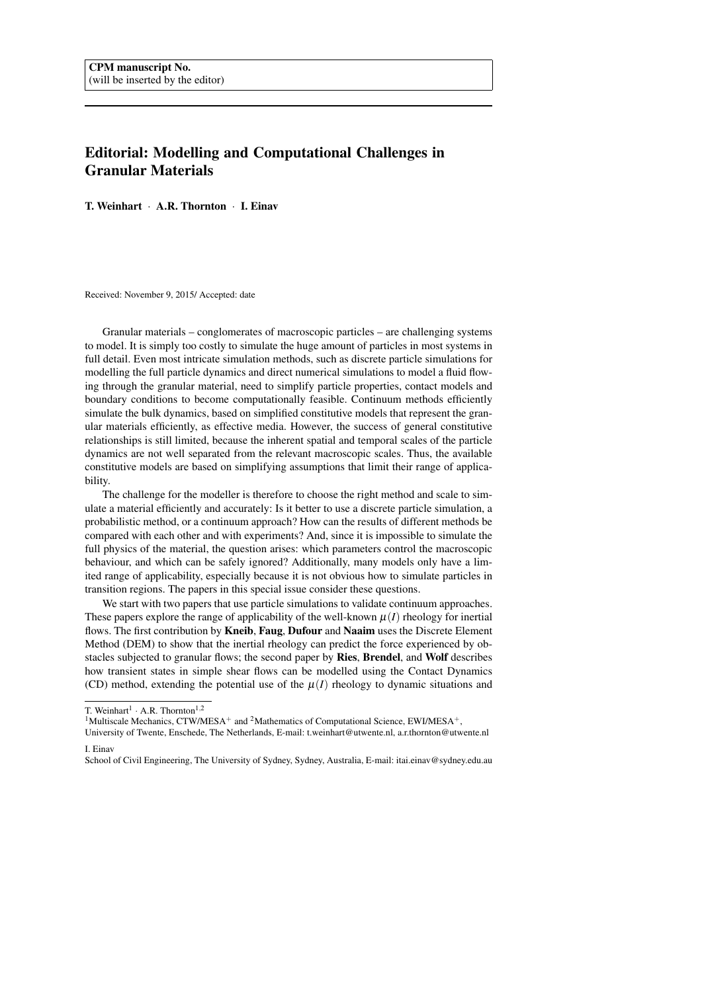## Editorial: Modelling and Computational Challenges in Granular Materials

T. Weinhart · A.R. Thornton · I. Einav

Received: November 9, 2015/ Accepted: date

Granular materials – conglomerates of macroscopic particles – are challenging systems to model. It is simply too costly to simulate the huge amount of particles in most systems in full detail. Even most intricate simulation methods, such as discrete particle simulations for modelling the full particle dynamics and direct numerical simulations to model a fluid flowing through the granular material, need to simplify particle properties, contact models and boundary conditions to become computationally feasible. Continuum methods efficiently simulate the bulk dynamics, based on simplified constitutive models that represent the granular materials efficiently, as effective media. However, the success of general constitutive relationships is still limited, because the inherent spatial and temporal scales of the particle dynamics are not well separated from the relevant macroscopic scales. Thus, the available constitutive models are based on simplifying assumptions that limit their range of applicability.

The challenge for the modeller is therefore to choose the right method and scale to simulate a material efficiently and accurately: Is it better to use a discrete particle simulation, a probabilistic method, or a continuum approach? How can the results of different methods be compared with each other and with experiments? And, since it is impossible to simulate the full physics of the material, the question arises: which parameters control the macroscopic behaviour, and which can be safely ignored? Additionally, many models only have a limited range of applicability, especially because it is not obvious how to simulate particles in transition regions. The papers in this special issue consider these questions.

We start with two papers that use particle simulations to validate continuum approaches. These papers explore the range of applicability of the well-known  $\mu(I)$  rheology for inertial flows. The first contribution by **Kneib, Faug, Dufour** and **Naaim** uses the Discrete Element Method (DEM) to show that the inertial rheology can predict the force experienced by obstacles subjected to granular flows; the second paper by Ries, Brendel, and Wolf describes how transient states in simple shear flows can be modelled using the Contact Dynamics (CD) method, extending the potential use of the  $\mu(I)$  rheology to dynamic situations and

T. Weinhart<sup>1</sup>  $\cdot$  A.R. Thornton<sup>1,2</sup>

<sup>&</sup>lt;sup>1</sup>Multiscale Mechanics, CTW/MESA<sup>+</sup> and <sup>2</sup>Mathematics of Computational Science, EWI/MESA<sup>+</sup>,

University of Twente, Enschede, The Netherlands, E-mail: t.weinhart@utwente.nl, a.r.thornton@utwente.nl

I. Einav

School of Civil Engineering, The University of Sydney, Sydney, Australia, E-mail: itai.einav@sydney.edu.au